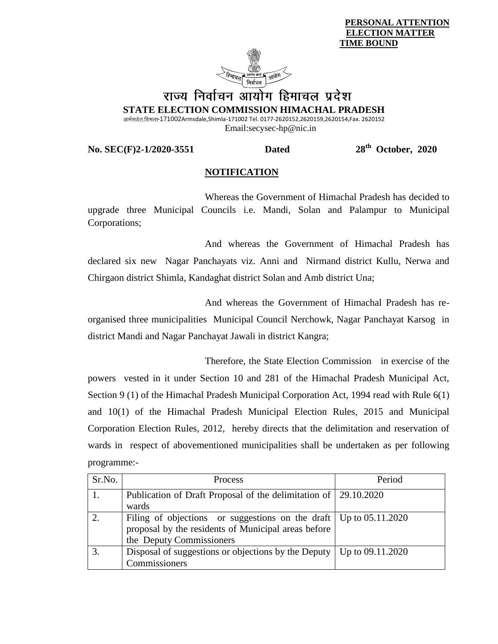**PERSONAL ATTENTION ELECTION MATTER TIME BOUND**



## राज्य निर्वाचन आयोग हिमाचल प्रदेश **STATE ELECTION COMMISSION HIMACHAL PRADESH**

आर्मसडेल,शिमला-171002Armsdale,Shimla-171002 Tel. 0177-2620152,2620159,2620154,Fax. 2620152 Email:secysec-hp@nic.in

**No. SEC(F)2-1/2020-3551 Dated** 

 **October, 2020**

## **NOTIFICATION**

Whereas the Government of Himachal Pradesh has decided to upgrade three Municipal Councils i.e. Mandi, Solan and Palampur to Municipal Corporations;

And whereas the Government of Himachal Pradesh has declared six new Nagar Panchayats viz. Anni and Nirmand district Kullu, Nerwa and Chirgaon district Shimla, Kandaghat district Solan and Amb district Una;

And whereas the Government of Himachal Pradesh has reorganised three municipalities Municipal Council Nerchowk, Nagar Panchayat Karsog in district Mandi and Nagar Panchayat Jawali in district Kangra;

Therefore, the State Election Commission in exercise of the powers vested in it under Section 10 and 281 of the Himachal Pradesh Municipal Act, Section 9 (1) of the Himachal Pradesh Municipal Corporation Act, 1994 read with Rule 6(1) and 10(1) of the Himachal Pradesh Municipal Election Rules, 2015 and Municipal Corporation Election Rules, 2012, hereby directs that the delimitation and reservation of wards in respect of abovementioned municipalities shall be undertaken as per following programme:-

| Sr.No. | Process                                                                      | Period |
|--------|------------------------------------------------------------------------------|--------|
|        | Publication of Draft Proposal of the delimitation of 29.10.2020              |        |
|        | wards                                                                        |        |
|        | Filing of objections or suggestions on the draft   Up to $05.11.2020$        |        |
|        | proposal by the residents of Municipal areas before                          |        |
|        | the Deputy Commissioners                                                     |        |
| 3.     | Disposal of suggestions or objections by the Deputy $\vert$ Up to 09.11.2020 |        |
|        | Commissioners                                                                |        |